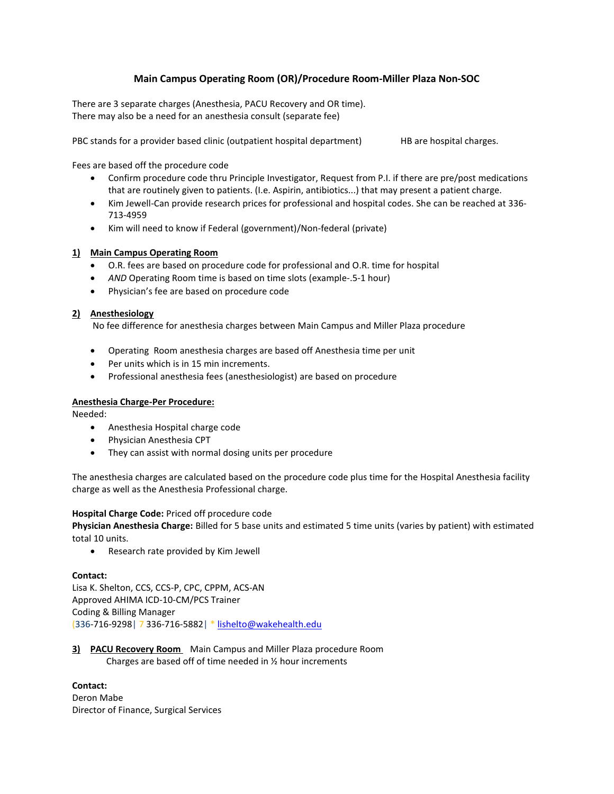# **Main Campus Operating Room (OR)/Procedure Room-Miller Plaza Non-SOC**

There are 3 separate charges (Anesthesia, PACU Recovery and OR time). There may also be a need for an anesthesia consult (separate fee)

PBC stands for a provider based clinic (outpatient hospital department) HB are hospital charges.

Fees are based off the procedure code

- Confirm procedure code thru Principle Investigator, Request from P.I. if there are pre/post medications that are routinely given to patients. (I.e. Aspirin, antibiotics...) that may present a patient charge.
- Kim Jewell-Can provide research prices for professional and hospital codes. She can be reached at 336- 713-4959
- Kim will need to know if Federal (government)/Non-federal (private)

# **1) Main Campus Operating Room**

- O.R. fees are based on procedure code for professional and O.R. time for hospital
- *AND* Operating Room time is based on time slots (example-.5-1 hour)
- Physician's fee are based on procedure code

# **2) Anesthesiology**

No fee difference for anesthesia charges between Main Campus and Miller Plaza procedure

- Operating Room anesthesia charges are based off Anesthesia time per unit
- Per units which is in 15 min increments.
- Professional anesthesia fees (anesthesiologist) are based on procedure

# **Anesthesia Charge-Per Procedure:**

Needed:

- Anesthesia Hospital charge code
- Physician Anesthesia CPT
- They can assist with normal dosing units per procedure

The anesthesia charges are calculated based on the procedure code plus time for the Hospital Anesthesia facility charge as well as the Anesthesia Professional charge.

#### **Hospital Charge Code:** Priced off procedure code

**Physician Anesthesia Charge:** Billed for 5 base units and estimated 5 time units (varies by patient) with estimated total 10 units.

• Research rate provided by Kim Jewell

#### **Contact:**

Lisa K. Shelton, CCS, CCS-P, CPC, CPPM, ACS-AN Approved AHIMA ICD-10-CM/PCS Trainer Coding & Billing Manager (336-716-9298| 7 336-716-5882| \* [lishelto@wakehealth.edu](mailto:lishelto@wakehealth.edu)

**3) PACU Recovery Room** Main Campus and Miller Plaza procedure Room Charges are based off of time needed in ½ hour increments

#### **Contact:**

Deron Mabe Director of Finance, Surgical Services